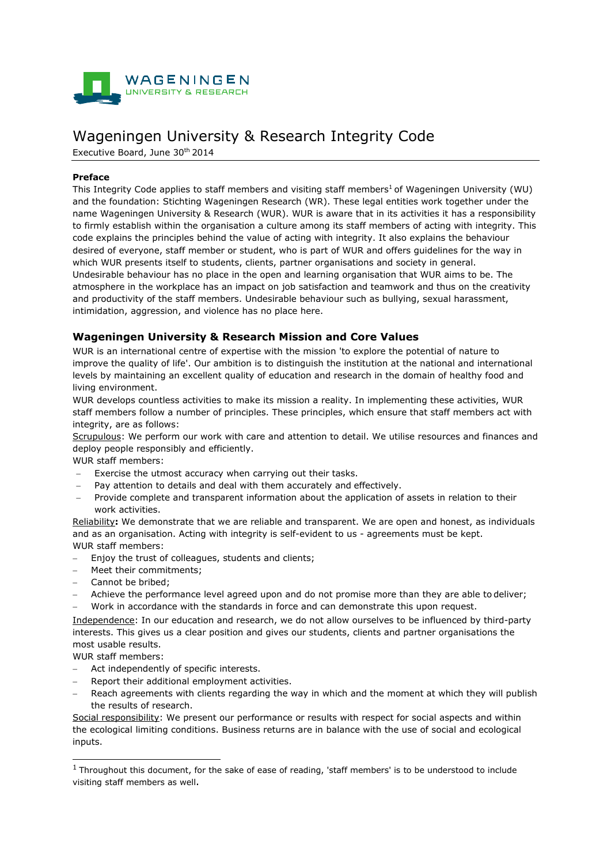

# Wageningen University & Research Integrity Code

Executive Board, June 30th 2014

### **Preface**

This Integrity Code applies to staff members and visiting staff members<sup>1</sup> of Wageningen University (WU) and the foundation: Stichting Wageningen Research (WR). These legal entities work together under the name Wageningen University & Research (WUR). WUR is aware that in its activities it has a responsibility to firmly establish within the organisation a culture among its staff members of acting with integrity. This code explains the principles behind the value of acting with integrity. It also explains the behaviour desired of everyone, staff member or student, who is part of WUR and offers guidelines for the way in which WUR presents itself to students, clients, partner organisations and society in general. Undesirable behaviour has no place in the open and learning organisation that WUR aims to be. The atmosphere in the workplace has an impact on job satisfaction and teamwork and thus on the creativity and productivity of the staff members. Undesirable behaviour such as bullying, sexual harassment, intimidation, aggression, and violence has no place here.

## **Wageningen University & Research Mission and Core Values**

WUR is an international centre of expertise with the mission 'to explore the potential of nature to improve the quality of life'. Our ambition is to distinguish the institution at the national and international levels by maintaining an excellent quality of education and research in the domain of healthy food and living environment.

WUR develops countless activities to make its mission a reality. In implementing these activities, WUR staff members follow a number of principles. These principles, which ensure that staff members act with integrity, are as follows:

Scrupulous: We perform our work with care and attention to detail. We utilise resources and finances and deploy people responsibly and efficiently.

WUR staff members:

- Exercise the utmost accuracy when carrying out their tasks.
- Pay attention to details and deal with them accurately and effectively.
- Provide complete and transparent information about the application of assets in relation to their work activities.

Reliability**:** We demonstrate that we are reliable and transparent. We are open and honest, as individuals and as an organisation. Acting with integrity is self-evident to us - agreements must be kept. WUR staff members:

- Enjoy the trust of colleagues, students and clients;
- Meet their commitments;
- − Cannot be bribed;
- Achieve the performance level agreed upon and do not promise more than they are able to deliver;
- − Work in accordance with the standards in force and can demonstrate this upon request.

Independence: In our education and research, we do not allow ourselves to be influenced by third-party interests. This gives us a clear position and gives our students, clients and partner organisations the most usable results.

WUR staff members:

- Act independently of specific interests.
- Report their additional employment activities.
- Reach agreements with clients regarding the way in which and the moment at which they will publish the results of research.

Social responsibility: We present our performance or results with respect for social aspects and within the ecological limiting conditions. Business returns are in balance with the use of social and ecological inputs.

 $1$  Throughout this document, for the sake of ease of reading, 'staff members' is to be understood to include visiting staff members as well.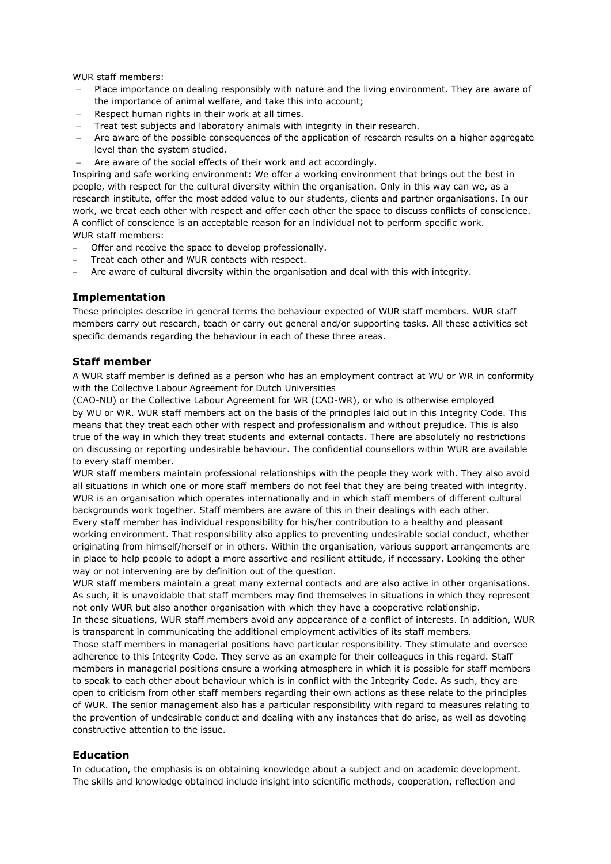WUR staff members:

- Place importance on dealing responsibly with nature and the living environment. They are aware of the importance of animal welfare, and take this into account;
- Respect human rights in their work at all times.
- Treat test subjects and laboratory animals with integrity in their research.
- Are aware of the possible consequences of the application of research results on a higher aggregate level than the system studied.
- Are aware of the social effects of their work and act accordingly.

Inspiring and safe working environment: We offer a working environment that brings out the best in people, with respect for the cultural diversity within the organisation. Only in this way can we, as a research institute, offer the most added value to our students, clients and partner organisations. In our work, we treat each other with respect and offer each other the space to discuss conflicts of conscience. A conflict of conscience is an acceptable reason for an individual not to perform specific work. WUR staff members:

- Offer and receive the space to develop professionally.
- Treat each other and WUR contacts with respect.
- Are aware of cultural diversity within the organisation and deal with this with integrity.

## **Implementation**

These principles describe in general terms the behaviour expected of WUR staff members. WUR staff members carry out research, teach or carry out general and/or supporting tasks. All these activities set specific demands regarding the behaviour in each of these three areas.

#### **Staff member**

A WUR staff member is defined as a person who has an employment contract at WU or WR in conformity with the Collective Labour Agreement for Dutch Universities

(CAO-NU) or the Collective Labour Agreement for WR (CAO-WR), or who is otherwise employed by WU or WR. WUR staff members act on the basis of the principles laid out in this Integrity Code. This means that they treat each other with respect and professionalism and without prejudice. This is also true of the way in which they treat students and external contacts. There are absolutely no restrictions on discussing or reporting undesirable behaviour. The confidential counsellors within WUR are available to every staff member.

WUR staff members maintain professional relationships with the people they work with. They also avoid all situations in which one or more staff members do not feel that they are being treated with integrity. WUR is an organisation which operates internationally and in which staff members of different cultural backgrounds work together. Staff members are aware of this in their dealings with each other.

Every staff member has individual responsibility for his/her contribution to a healthy and pleasant working environment. That responsibility also applies to preventing undesirable social conduct, whether originating from himself/herself or in others. Within the organisation, various support arrangements are in place to help people to adopt a more assertive and resilient attitude, if necessary. Looking the other way or not intervening are by definition out of the question.

WUR staff members maintain a great many external contacts and are also active in other organisations. As such, it is unavoidable that staff members may find themselves in situations in which they represent not only WUR but also another organisation with which they have a cooperative relationship.

In these situations, WUR staff members avoid any appearance of a conflict of interests. In addition, WUR is transparent in communicating the additional employment activities of its staff members.

Those staff members in managerial positions have particular responsibility. They stimulate and oversee adherence to this Integrity Code. They serve as an example for their colleagues in this regard. Staff members in managerial positions ensure a working atmosphere in which it is possible for staff members to speak to each other about behaviour which is in conflict with the Integrity Code. As such, they are open to criticism from other staff members regarding their own actions as these relate to the principles of WUR. The senior management also has a particular responsibility with regard to measures relating to the prevention of undesirable conduct and dealing with any instances that do arise, as well as devoting constructive attention to the issue.

#### **Education**

In education, the emphasis is on obtaining knowledge about a subject and on academic development. The skills and knowledge obtained include insight into scientific methods, cooperation, reflection and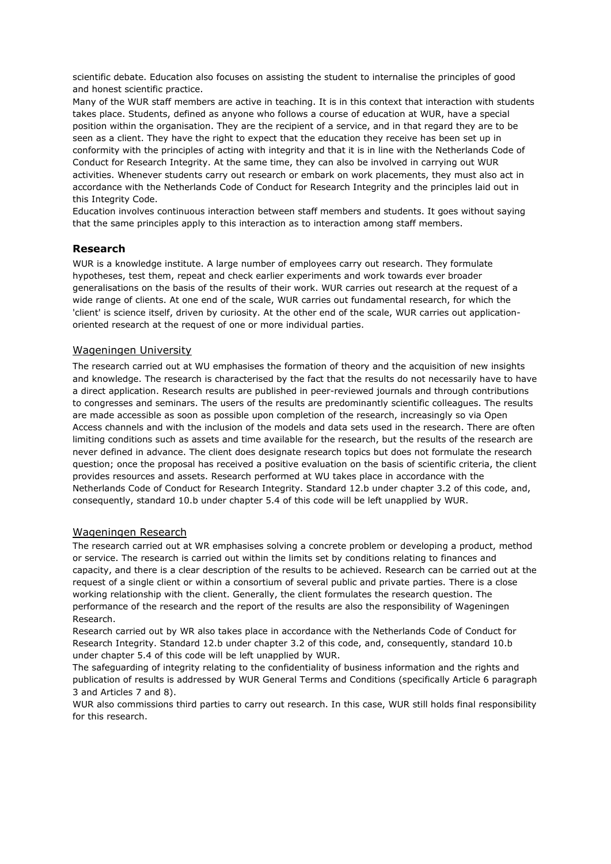scientific debate. Education also focuses on assisting the student to internalise the principles of good and honest scientific practice.

Many of the WUR staff members are active in teaching. It is in this context that interaction with students takes place. Students, defined as anyone who follows a course of education at WUR, have a special position within the organisation. They are the recipient of a service, and in that regard they are to be seen as a client. They have the right to expect that the education they receive has been set up in conformity with the principles of acting with integrity and that it is in line with the Netherlands Code of Conduct for Research Integrity. At the same time, they can also be involved in carrying out WUR activities. Whenever students carry out research or embark on work placements, they must also act in accordance with the Netherlands Code of Conduct for Research Integrity and the principles laid out in this Integrity Code.

Education involves continuous interaction between staff members and students. It goes without saying that the same principles apply to this interaction as to interaction among staff members.

#### **Research**

WUR is a knowledge institute. A large number of employees carry out research. They formulate hypotheses, test them, repeat and check earlier experiments and work towards ever broader generalisations on the basis of the results of their work. WUR carries out research at the request of a wide range of clients. At one end of the scale, WUR carries out fundamental research, for which the 'client' is science itself, driven by curiosity. At the other end of the scale, WUR carries out applicationoriented research at the request of one or more individual parties.

#### Wageningen University

The research carried out at WU emphasises the formation of theory and the acquisition of new insights and knowledge. The research is characterised by the fact that the results do not necessarily have to have a direct application. Research results are published in peer-reviewed journals and through contributions to congresses and seminars. The users of the results are predominantly scientific colleagues. The results are made accessible as soon as possible upon completion of the research, increasingly so via Open Access channels and with the inclusion of the models and data sets used in the research. There are often limiting conditions such as assets and time available for the research, but the results of the research are never defined in advance. The client does designate research topics but does not formulate the research question; once the proposal has received a positive evaluation on the basis of scientific criteria, the client provides resources and assets. Research performed at WU takes place in accordance with the Netherlands Code of Conduct for Research Integrity. Standard 12.b under chapter 3.2 of this code, and, consequently, standard 10.b under chapter 5.4 of this code will be left unapplied by WUR.

#### Wageningen Research

The research carried out at WR emphasises solving a concrete problem or developing a product, method or service. The research is carried out within the limits set by conditions relating to finances and capacity, and there is a clear description of the results to be achieved. Research can be carried out at the request of a single client or within a consortium of several public and private parties. There is a close working relationship with the client. Generally, the client formulates the research question. The performance of the research and the report of the results are also the responsibility of Wageningen Research.

Research carried out by WR also takes place in accordance with the Netherlands Code of Conduct for Research Integrity. Standard 12.b under chapter 3.2 of this code, and, consequently, standard 10.b under chapter 5.4 of this code will be left unapplied by WUR.

The safeguarding of integrity relating to the confidentiality of business information and the rights and publication of results is addressed by WUR General Terms and Conditions (specifically Article 6 paragraph 3 and Articles 7 and 8).

WUR also commissions third parties to carry out research. In this case, WUR still holds final responsibility for this research.